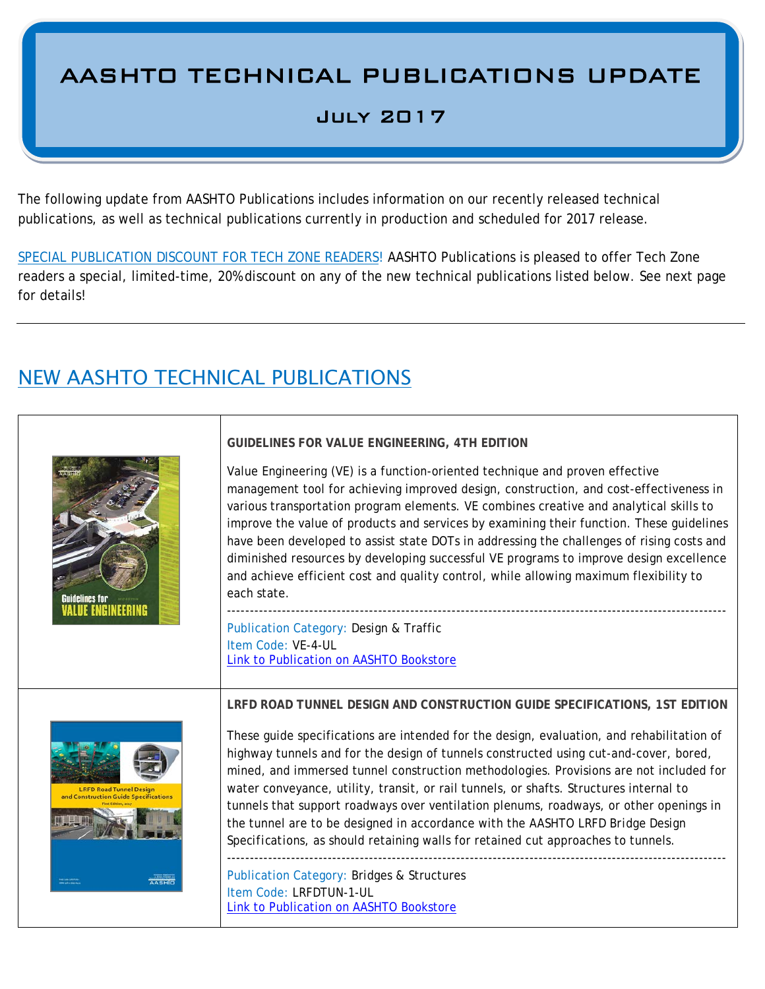# AASHTO TECHNICAL PUBLICATIONS UPDATE

#### July 2017

The following update from AASHTO Publications includes information on our recently released technical publications, as well as technical publications currently in production and scheduled for 2017 release.

SPECIAL PUBLICATION DISCOUNT FOR TECH ZONE READERS! AASHTO Publications is pleased to offer Tech Zone readers a special, limited-time, 20% discount on any of the new technical publications listed below. See next page for details!

## NEW AASHTO TECHNICAL PUBLICATIONS

| <b>Guidelines for</b><br><b><i>IALUE ENGINEERING</i></b>                | <b>GUIDELINES FOR VALUE ENGINEERING, 4TH EDITION</b><br>Value Engineering (VE) is a function-oriented technique and proven effective<br>management tool for achieving improved design, construction, and cost-effectiveness in<br>various transportation program elements. VE combines creative and analytical skills to<br>improve the value of products and services by examining their function. These guidelines<br>have been developed to assist state DOTs in addressing the challenges of rising costs and<br>diminished resources by developing successful VE programs to improve design excellence<br>and achieve efficient cost and quality control, while allowing maximum flexibility to<br>each state.<br><b>Publication Category: Design &amp; Traffic</b><br>Item Code: VE-4-UL<br>Link to Publication on AASHTO Bookstore |
|-------------------------------------------------------------------------|-------------------------------------------------------------------------------------------------------------------------------------------------------------------------------------------------------------------------------------------------------------------------------------------------------------------------------------------------------------------------------------------------------------------------------------------------------------------------------------------------------------------------------------------------------------------------------------------------------------------------------------------------------------------------------------------------------------------------------------------------------------------------------------------------------------------------------------------|
| <b>LRFD Road Tunnel Design</b><br>and Construction Guide Specifications | LRFD ROAD TUNNEL DESIGN AND CONSTRUCTION GUIDE SPECIFICATIONS, 1ST EDITION<br>These guide specifications are intended for the design, evaluation, and rehabilitation of<br>highway tunnels and for the design of tunnels constructed using cut-and-cover, bored,<br>mined, and immersed tunnel construction methodologies. Provisions are not included for<br>water conveyance, utility, transit, or rail tunnels, or shafts. Structures internal to<br>tunnels that support roadways over ventilation plenums, roadways, or other openings in<br>the tunnel are to be designed in accordance with the AASHTO LRFD Bridge Design<br>Specifications, as should retaining walls for retained cut approaches to tunnels.                                                                                                                     |
|                                                                         | <b>Publication Category: Bridges &amp; Structures</b><br>Item Code: LRFDTUN-1-UL                                                                                                                                                                                                                                                                                                                                                                                                                                                                                                                                                                                                                                                                                                                                                          |

Item Code: LRFDTUN-1-UL [Link to Publication on AASHTO Bookstore](https://bookstore.transportation.org/item_details.aspx?ID=3742)